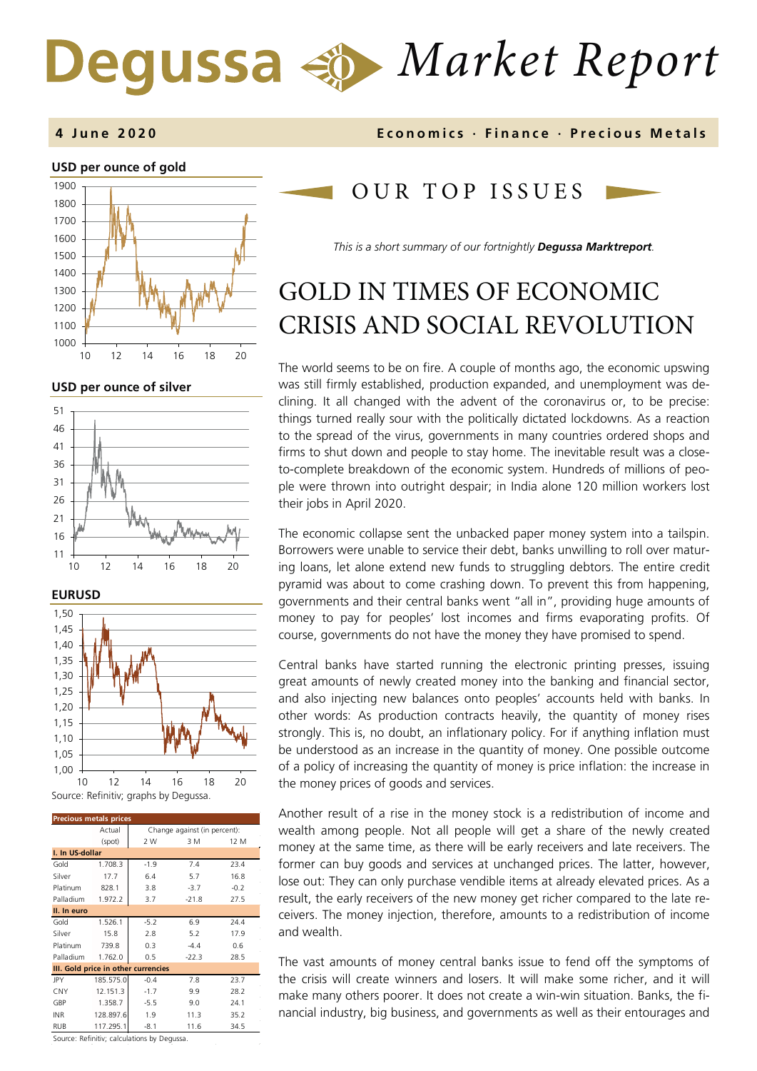# *Market Report*

### **USD per ounce of gold**  1000 1100 1200 1300 1400 1500 1600 1700 1800 1900 10 12 14 16 18 20

**USD per ounce of silver** 







| <b>Precious metals prices</b>       |           |                              |         |        |  |
|-------------------------------------|-----------|------------------------------|---------|--------|--|
|                                     | Actual    | Change against (in percent): |         |        |  |
|                                     | (spot)    | 2 W                          | 3 M     | 12 M   |  |
| I. In US-dollar                     |           |                              |         |        |  |
| Gold                                | 1.708.3   | $-1.9$                       | 7.4     | 23.4   |  |
| Silver                              | 17.7      | 6.4                          | 5.7     | 16.8   |  |
| Platinum                            | 828.1     | 3.8                          | $-3.7$  | $-0.2$ |  |
| Palladium                           | 1.972.2   | 3.7                          | $-21.8$ | 27.5   |  |
| II. In euro                         |           |                              |         |        |  |
| Gold                                | 1.526.1   | $-5.2$                       | 6.9     | 24.4   |  |
| Silver                              | 15.8      | 2.8                          | 5.2     | 17.9   |  |
| Platinum                            | 739.8     | 0.3                          | $-4.4$  | 0.6    |  |
| Palladium                           | 1.762.0   | 0.5                          | $-22.3$ | 28.5   |  |
| III. Gold price in other currencies |           |                              |         |        |  |
| <b>JPY</b>                          | 185.575.0 | $-0.4$                       | 7.8     | 23.7   |  |
| CNY                                 | 12.151.3  | $-1.7$                       | 9.9     | 28.2   |  |
| GBP                                 | 1.358.7   | $-5.5$                       | 9.0     | 24.1   |  |
| <b>INR</b>                          | 128.897.6 | 1.9                          | 11.3    | 35.2   |  |
| <b>RUB</b>                          | 117.295.1 | $-8.1$                       | 11.6    | 34.5   |  |

**4 June 2020 Economics · Finance · Precious M etals**

## OUR TOP ISSUE S

*This is a short summary of our fortnightly Degussa Marktreport.*

## GOLD IN TIMES OF ECONOMIC CRISIS AND SOCIAL REVOLUTION

The world seems to be on fire. A couple of months ago, the economic upswing was still firmly established, production expanded, and unemployment was declining. It all changed with the advent of the coronavirus or, to be precise: things turned really sour with the politically dictated lockdowns. As a reaction to the spread of the virus, governments in many countries ordered shops and firms to shut down and people to stay home. The inevitable result was a closeto-complete breakdown of the economic system. Hundreds of millions of people were thrown into outright despair; in India alone 120 million workers lost their jobs in April 2020.

The economic collapse sent the unbacked paper money system into a tailspin. Borrowers were unable to service their debt, banks unwilling to roll over maturing loans, let alone extend new funds to struggling debtors. The entire credit pyramid was about to come crashing down. To prevent this from happening, governments and their central banks went "all in", providing huge amounts of money to pay for peoples' lost incomes and firms evaporating profits. Of course, governments do not have the money they have promised to spend.

Central banks have started running the electronic printing presses, issuing great amounts of newly created money into the banking and financial sector, and also injecting new balances onto peoples' accounts held with banks. In other words: As production contracts heavily, the quantity of money rises strongly. This is, no doubt, an inflationary policy. For if anything inflation must be understood as an increase in the quantity of money. One possible outcome of a policy of increasing the quantity of money is price inflation: the increase in the money prices of goods and services.

Another result of a rise in the money stock is a redistribution of income and wealth among people. Not all people will get a share of the newly created money at the same time, as there will be early receivers and late receivers. The former can buy goods and services at unchanged prices. The latter, however, lose out: They can only purchase vendible items at already elevated prices. As a result, the early receivers of the new money get richer compared to the late receivers. The money injection, therefore, amounts to a redistribution of income and wealth.

The vast amounts of money central banks issue to fend off the symptoms of the crisis will create winners and losers. It will make some richer, and it will make many others poorer. It does not create a win-win situation. Banks, the financial industry, big business, and governments as well as their entourages and

Source: Refinitiv; calculations by Degussa.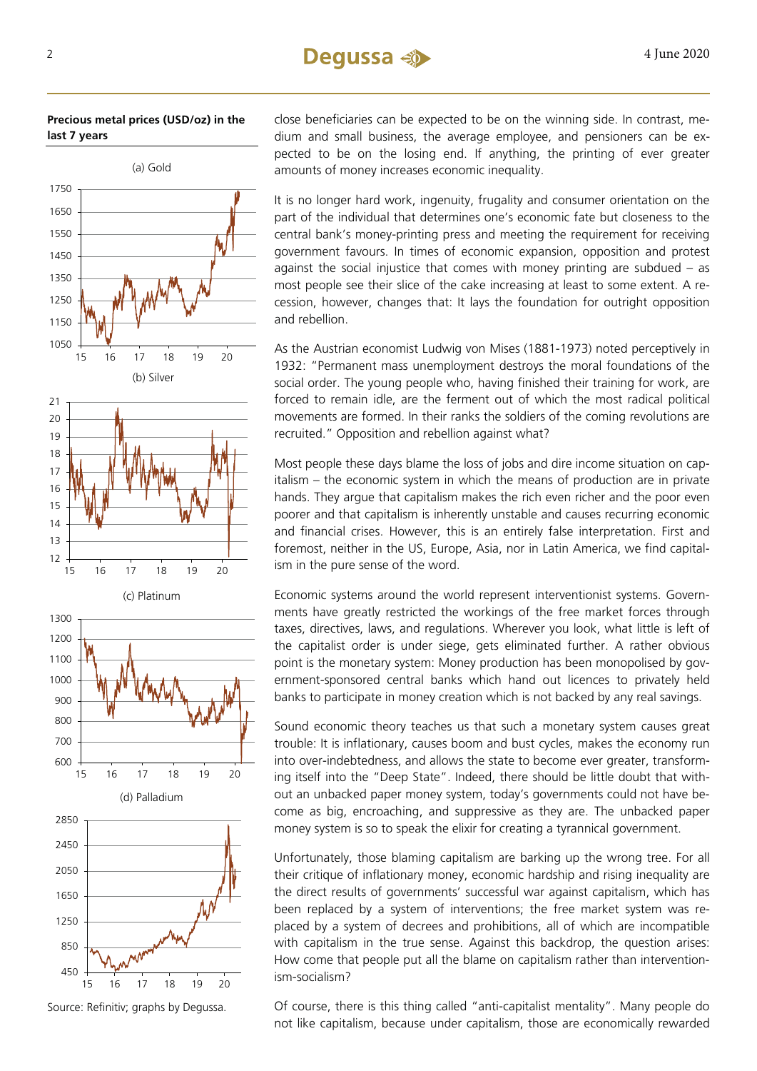**Precious metal prices (USD/oz) in the last 7 years**



Source: Refinitiv; graphs by Degussa.

15 16 17 18 19 20

close beneficiaries can be expected to be on the winning side. In contrast, medium and small business, the average employee, and pensioners can be expected to be on the losing end. If anything, the printing of ever greater amounts of money increases economic inequality.

It is no longer hard work, ingenuity, frugality and consumer orientation on the part of the individual that determines one's economic fate but closeness to the central bank's money-printing press and meeting the requirement for receiving government favours. In times of economic expansion, opposition and protest against the social injustice that comes with money printing are subdued – as most people see their slice of the cake increasing at least to some extent. A recession, however, changes that: It lays the foundation for outright opposition and rebellion.

As the Austrian economist Ludwig von Mises (1881-1973) noted perceptively in 1932: "Permanent mass unemployment destroys the moral foundations of the social order. The young people who, having finished their training for work, are forced to remain idle, are the ferment out of which the most radical political movements are formed. In their ranks the soldiers of the coming revolutions are recruited." Opposition and rebellion against what?

Most people these days blame the loss of jobs and dire income situation on capitalism – the economic system in which the means of production are in private hands. They argue that capitalism makes the rich even richer and the poor even poorer and that capitalism is inherently unstable and causes recurring economic and financial crises. However, this is an entirely false interpretation. First and foremost, neither in the US, Europe, Asia, nor in Latin America, we find capitalism in the pure sense of the word.

Economic systems around the world represent interventionist systems. Governments have greatly restricted the workings of the free market forces through taxes, directives, laws, and regulations. Wherever you look, what little is left of the capitalist order is under siege, gets eliminated further. A rather obvious point is the monetary system: Money production has been monopolised by government-sponsored central banks which hand out licences to privately held banks to participate in money creation which is not backed by any real savings.

Sound economic theory teaches us that such a monetary system causes great trouble: It is inflationary, causes boom and bust cycles, makes the economy run into over-indebtedness, and allows the state to become ever greater, transforming itself into the "Deep State". Indeed, there should be little doubt that without an unbacked paper money system, today's governments could not have become as big, encroaching, and suppressive as they are. The unbacked paper money system is so to speak the elixir for creating a tyrannical government.

Unfortunately, those blaming capitalism are barking up the wrong tree. For all their critique of inflationary money, economic hardship and rising inequality are the direct results of governments' successful war against capitalism, which has been replaced by a system of interventions; the free market system was replaced by a system of decrees and prohibitions, all of which are incompatible with capitalism in the true sense. Against this backdrop, the question arises: How come that people put all the blame on capitalism rather than interventionism-socialism?

Of course, there is this thing called "anti-capitalist mentality". Many people do not like capitalism, because under capitalism, those are economically rewarded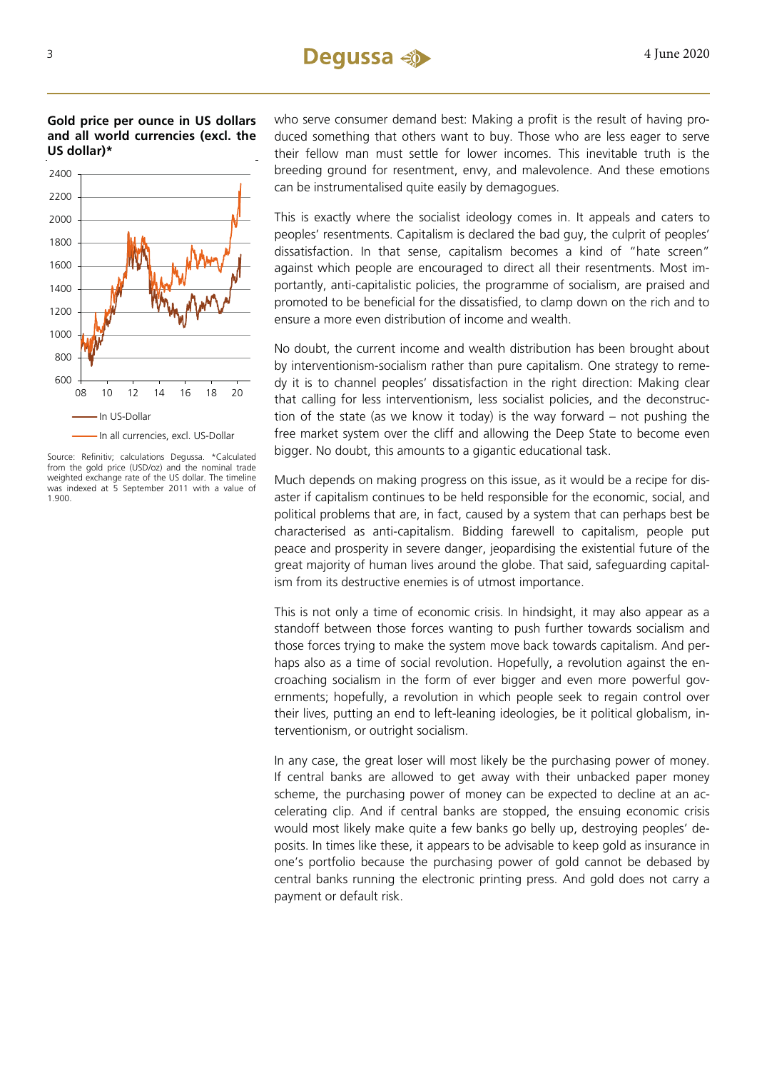**Gold price per ounce in US dollars and all world currencies (excl. the US dollar)\***



Source: Refinitiv; calculations Degussa. \*Calculated from the gold price (USD/oz) and the nominal trade weighted exchange rate of the US dollar. The timeline was indexed at 5 September 2011 with a value of 1.900.

who serve consumer demand best: Making a profit is the result of having produced something that others want to buy. Those who are less eager to serve their fellow man must settle for lower incomes. This inevitable truth is the breeding ground for resentment, envy, and malevolence. And these emotions can be instrumentalised quite easily by demagogues.

This is exactly where the socialist ideology comes in. It appeals and caters to peoples' resentments. Capitalism is declared the bad guy, the culprit of peoples' dissatisfaction. In that sense, capitalism becomes a kind of "hate screen" against which people are encouraged to direct all their resentments. Most importantly, anti-capitalistic policies, the programme of socialism, are praised and promoted to be beneficial for the dissatisfied, to clamp down on the rich and to ensure a more even distribution of income and wealth.

No doubt, the current income and wealth distribution has been brought about by interventionism-socialism rather than pure capitalism. One strategy to remedy it is to channel peoples' dissatisfaction in the right direction: Making clear that calling for less interventionism, less socialist policies, and the deconstruction of the state (as we know it today) is the way forward – not pushing the free market system over the cliff and allowing the Deep State to become even bigger. No doubt, this amounts to a gigantic educational task.

Much depends on making progress on this issue, as it would be a recipe for disaster if capitalism continues to be held responsible for the economic, social, and political problems that are, in fact, caused by a system that can perhaps best be characterised as anti-capitalism. Bidding farewell to capitalism, people put peace and prosperity in severe danger, jeopardising the existential future of the great majority of human lives around the globe. That said, safeguarding capitalism from its destructive enemies is of utmost importance.

This is not only a time of economic crisis. In hindsight, it may also appear as a standoff between those forces wanting to push further towards socialism and those forces trying to make the system move back towards capitalism. And perhaps also as a time of social revolution. Hopefully, a revolution against the encroaching socialism in the form of ever bigger and even more powerful governments; hopefully, a revolution in which people seek to regain control over their lives, putting an end to left-leaning ideologies, be it political globalism, interventionism, or outright socialism.

In any case, the great loser will most likely be the purchasing power of money. If central banks are allowed to get away with their unbacked paper money scheme, the purchasing power of money can be expected to decline at an accelerating clip. And if central banks are stopped, the ensuing economic crisis would most likely make quite a few banks go belly up, destroying peoples' deposits. In times like these, it appears to be advisable to keep gold as insurance in one's portfolio because the purchasing power of gold cannot be debased by central banks running the electronic printing press. And gold does not carry a payment or default risk.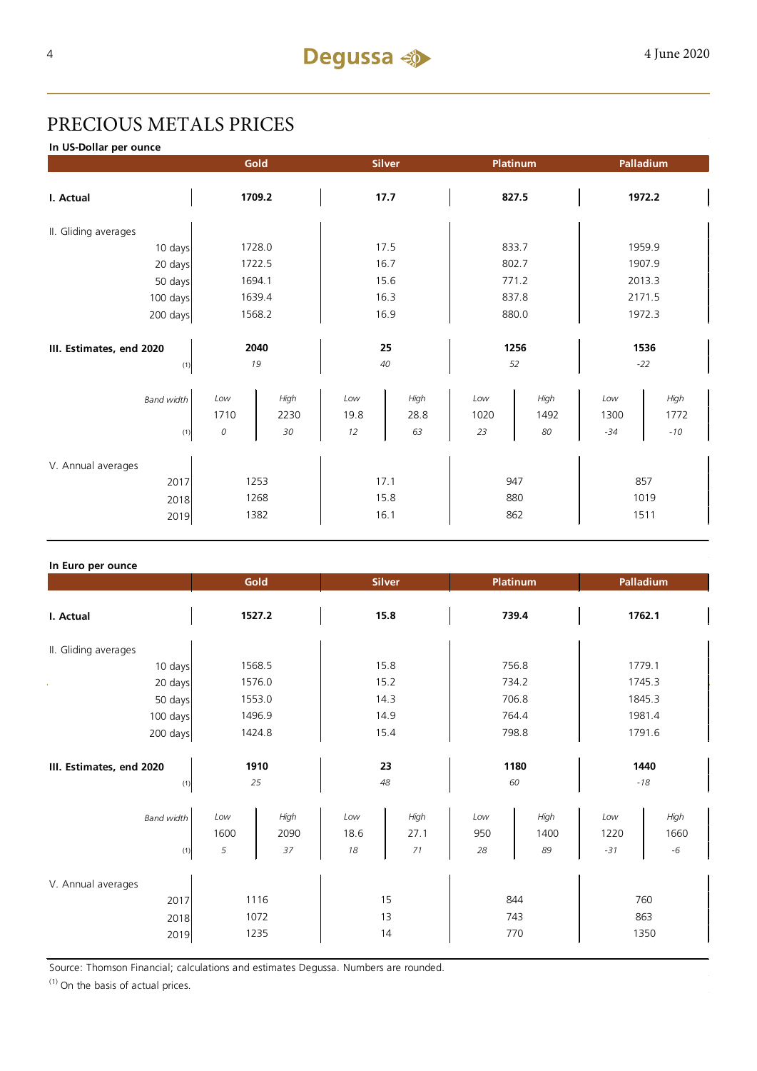## PRECIOUS METALS PRICES

**In US-Dollar per ounce**

|                          | Gold   |      | <b>Silver</b> |      | Platinum |      | Palladium |         |
|--------------------------|--------|------|---------------|------|----------|------|-----------|---------|
| I. Actual                | 1709.2 |      | 17.7          |      | 827.5    |      | 1972.2    |         |
| II. Gliding averages     |        |      |               |      |          |      |           |         |
| 10 days                  | 1728.0 |      | 17.5          |      | 833.7    |      | 1959.9    |         |
| 20 days                  | 1722.5 |      | 16.7          |      | 802.7    |      | 1907.9    |         |
| 50 days                  | 1694.1 |      | 15.6          |      | 771.2    |      | 2013.3    |         |
| 100 days                 | 1639.4 |      | 16.3          |      | 837.8    |      | 2171.5    |         |
| 200 days                 | 1568.2 |      | 16.9          |      | 880.0    |      | 1972.3    |         |
|                          |        |      |               |      |          |      |           |         |
| III. Estimates, end 2020 | 2040   |      | 25            |      | 1256     |      | 1536      |         |
| (1)                      | 19     |      | 40            |      | 52       |      | $-22$     |         |
| <b>Band width</b>        | Low    | High | Low           | High | $_{Low}$ | High | Low       | High    |
|                          | 1710   | 2230 | 19.8          | 28.8 | 1020     | 1492 | 1300      | 1772    |
| (1)                      | 0      | 30   | 12            | 63   | 23       | 80   | $-34$     | $-10\,$ |
| V. Annual averages       |        |      |               |      |          |      |           |         |
| 2017                     | 1253   |      | 17.1          |      | 947      |      | 857       |         |
| 2018                     | 1268   |      | 15.8          |      | 880      |      | 1019      |         |
| 2019                     | 1382   |      | 16.1          |      | 862      |      | 1511      |         |

#### **In Euro per ounce**

| == p                                       | Gold                 |                    |                   | <b>Silver</b>      |                   | Platinum           | Palladium            |                      |  |
|--------------------------------------------|----------------------|--------------------|-------------------|--------------------|-------------------|--------------------|----------------------|----------------------|--|
| I. Actual                                  | 1527.2               |                    | 15.8              |                    | 739.4             |                    | 1762.1               |                      |  |
| II. Gliding averages                       |                      |                    |                   |                    |                   |                    |                      |                      |  |
| 10 days                                    | 1568.5               |                    | 15.8              |                    | 756.8             |                    | 1779.1               |                      |  |
| 20 days                                    | 1576.0               |                    | 15.2              |                    | 734.2             |                    | 1745.3               |                      |  |
| 50 days                                    | 1553.0               |                    | 14.3              |                    | 706.8             |                    | 1845.3               |                      |  |
| 100 days                                   | 1496.9               |                    | 14.9              |                    | 764.4             |                    | 1981.4               |                      |  |
| 200 days                                   | 1424.8               |                    | 15.4              |                    | 798.8             |                    | 1791.6               |                      |  |
| III. Estimates, end 2020<br>(1)            |                      | 1910<br>25         |                   | 23<br>48           |                   | 1180<br>60         |                      | 1440<br>$-18$        |  |
| <b>Band width</b><br>(1)                   | Low<br>1600<br>5     | High<br>2090<br>37 | Low<br>18.6<br>18 | High<br>27.1<br>71 | Low<br>950<br>28  | High<br>1400<br>89 | Low<br>1220<br>$-31$ | High<br>1660<br>$-6$ |  |
| V. Annual averages<br>2017<br>2018<br>2019 | 1116<br>1072<br>1235 |                    | 15<br>13<br>14    |                    | 844<br>743<br>770 |                    | 760<br>863<br>1350   |                      |  |

Source: Thomson Financial; calculations and estimates Degussa. Numbers are rounded.

 $(1)$  On the basis of actual prices.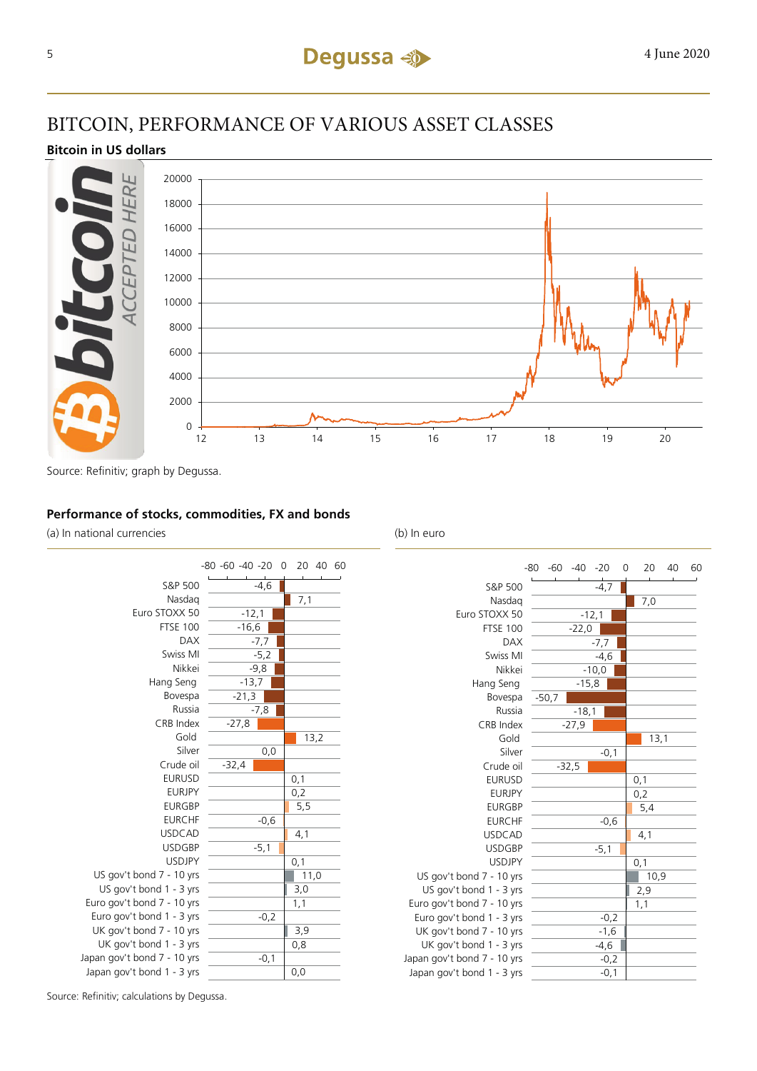## BITCOIN, PERFORMANCE OF VARIOUS ASSET CLASSES

#### **Bitcoin in US dollars**



Source: Refinitiv; graph by Degussa.

#### **Performance of stocks, commodities, FX and bonds**

(a) In national currencies (b) In euro





Source: Refinitiv; calculations by Degussa.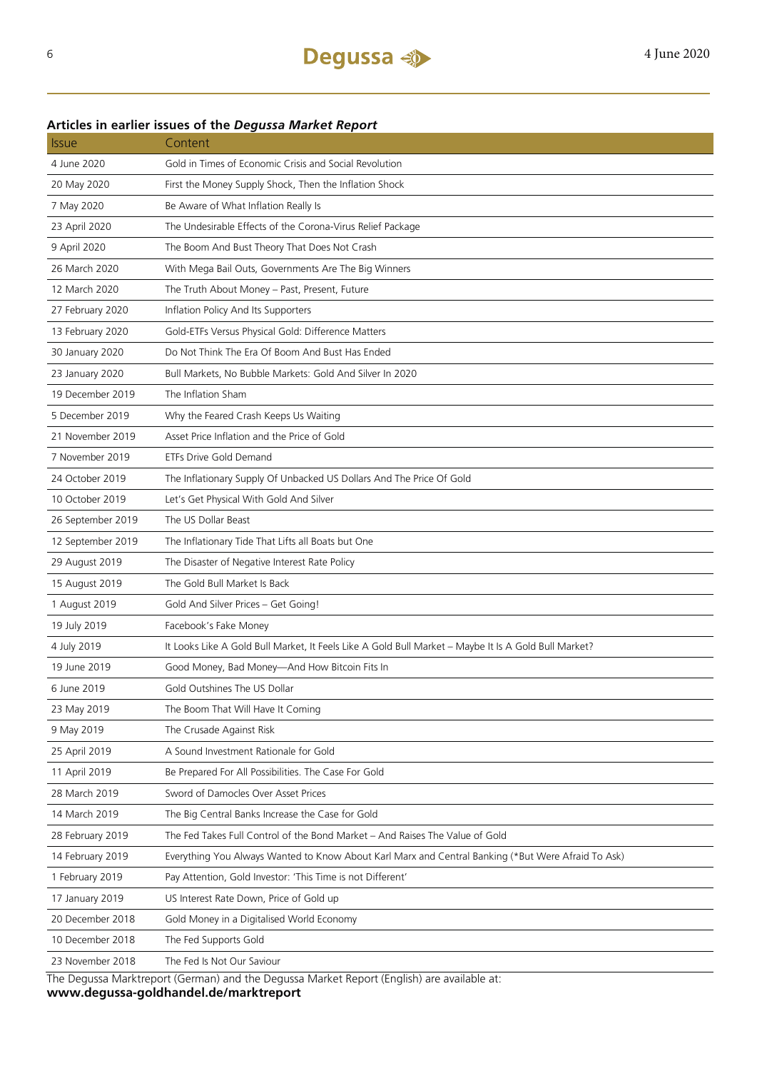#### **Articles in earlier issues of the** *Degussa Market Report*

| <b>Issue</b>      | Content                                                                                              |
|-------------------|------------------------------------------------------------------------------------------------------|
| 4 June 2020       | Gold in Times of Economic Crisis and Social Revolution                                               |
| 20 May 2020       | First the Money Supply Shock, Then the Inflation Shock                                               |
| 7 May 2020        | Be Aware of What Inflation Really Is                                                                 |
| 23 April 2020     | The Undesirable Effects of the Corona-Virus Relief Package                                           |
| 9 April 2020      | The Boom And Bust Theory That Does Not Crash                                                         |
| 26 March 2020     | With Mega Bail Outs, Governments Are The Big Winners                                                 |
| 12 March 2020     | The Truth About Money - Past, Present, Future                                                        |
| 27 February 2020  | Inflation Policy And Its Supporters                                                                  |
| 13 February 2020  | Gold-ETFs Versus Physical Gold: Difference Matters                                                   |
| 30 January 2020   | Do Not Think The Era Of Boom And Bust Has Ended                                                      |
| 23 January 2020   | Bull Markets, No Bubble Markets: Gold And Silver In 2020                                             |
| 19 December 2019  | The Inflation Sham                                                                                   |
| 5 December 2019   | Why the Feared Crash Keeps Us Waiting                                                                |
| 21 November 2019  | Asset Price Inflation and the Price of Gold                                                          |
| 7 November 2019   | ETFs Drive Gold Demand                                                                               |
| 24 October 2019   | The Inflationary Supply Of Unbacked US Dollars And The Price Of Gold                                 |
| 10 October 2019   | Let's Get Physical With Gold And Silver                                                              |
| 26 September 2019 | The US Dollar Beast                                                                                  |
| 12 September 2019 | The Inflationary Tide That Lifts all Boats but One                                                   |
| 29 August 2019    | The Disaster of Negative Interest Rate Policy                                                        |
| 15 August 2019    | The Gold Bull Market Is Back                                                                         |
| 1 August 2019     | Gold And Silver Prices - Get Going!                                                                  |
| 19 July 2019      | Facebook's Fake Money                                                                                |
| 4 July 2019       | It Looks Like A Gold Bull Market, It Feels Like A Gold Bull Market - Maybe It Is A Gold Bull Market? |
| 19 June 2019      | Good Money, Bad Money-And How Bitcoin Fits In                                                        |
| 6 June 2019       | Gold Outshines The US Dollar                                                                         |
| 23 May 2019       | The Boom That Will Have It Coming                                                                    |
| 9 May 2019        | The Crusade Against Risk                                                                             |
| 25 April 2019     | A Sound Investment Rationale for Gold                                                                |
| 11 April 2019     | Be Prepared For All Possibilities. The Case For Gold                                                 |
| 28 March 2019     | Sword of Damocles Over Asset Prices                                                                  |
| 14 March 2019     | The Big Central Banks Increase the Case for Gold                                                     |
| 28 February 2019  | The Fed Takes Full Control of the Bond Market - And Raises The Value of Gold                         |
| 14 February 2019  | Everything You Always Wanted to Know About Karl Marx and Central Banking (*But Were Afraid To Ask)   |
| 1 February 2019   | Pay Attention, Gold Investor: 'This Time is not Different'                                           |
| 17 January 2019   | US Interest Rate Down, Price of Gold up                                                              |
| 20 December 2018  | Gold Money in a Digitalised World Economy                                                            |
| 10 December 2018  | The Fed Supports Gold                                                                                |
| 23 November 2018  | The Fed Is Not Our Saviour                                                                           |

The Degussa Marktreport (German) and the Degussa Market Report (English) are available at:

**www.degussa-goldhandel.de/marktreport**